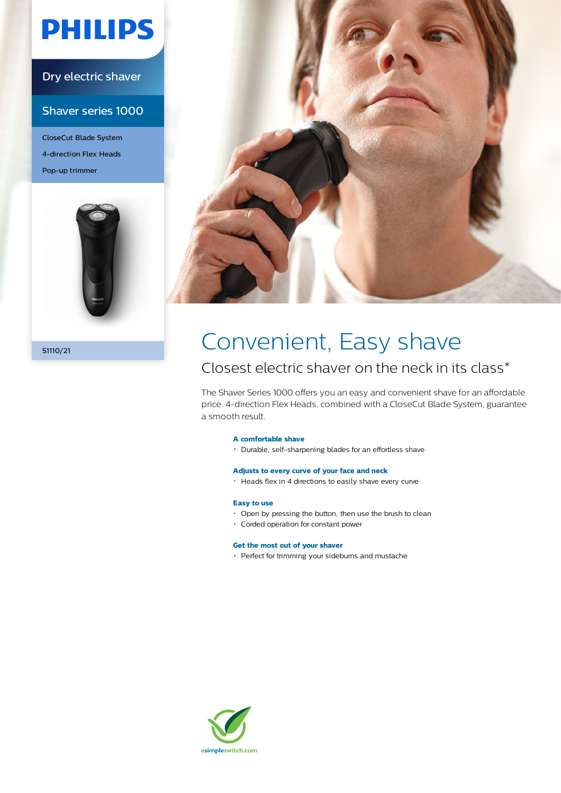# **PHILIPS**

### Dry electric shaver

### Shaver series 1000

CloseCut Blade System 4-direction Flex Heads Pop-up trimmer





## SHI10/21 Convenient, Easy shave

### Closest electric shaver on the neck in its class\*

The Shaver Series 1000 offers you an easy and convenient shave for an affordable price. 4-direction Flex Heads, combined with a CloseCut Blade System, guarantee a smooth result.

#### **A comfortable shave**

Durable, self-sharpening blades for an effortless shave

#### **Adjusts to every curve of your face and neck**

Heads flex in 4 directions to easily shave every curve

#### **Easy to use**

- Open by pressing the button, then use the brush to clean
- Corded operation for constant power

#### **Get the most out of your shaver**

• Perfect for trimming your sideburns and mustache